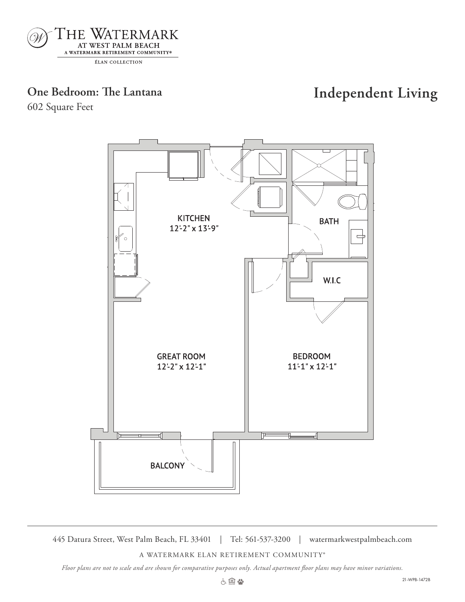

# **One Bedroom: The Lantana Independent Living**

602 Square Feet



445 Datura Street, West Palm Beach, FL 33401 | Tel: 561-537-3200 | watermarkwestpalmbeach.com

A WATERMARK ELAN RETIREMENT COMMUNITY®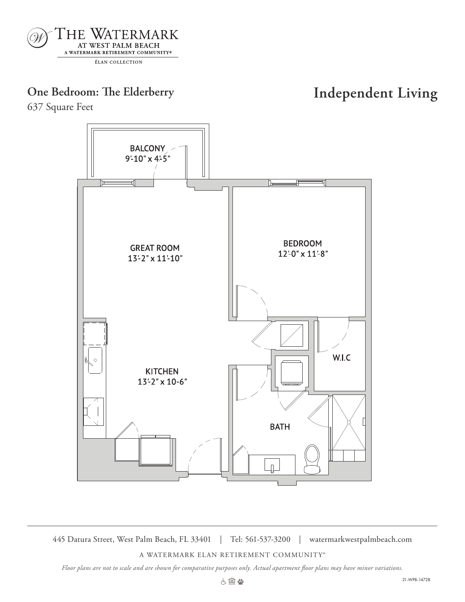

# **One Bedroom: The Elderberry Independent Living**

637 Square Feet



445 Datura Street, West Palm Beach, FL 33401 | Tel: 561-537-3200 | watermarkwestpalmbeach.com

A WATERMARK ELAN RETIREMENT COMMUNITY®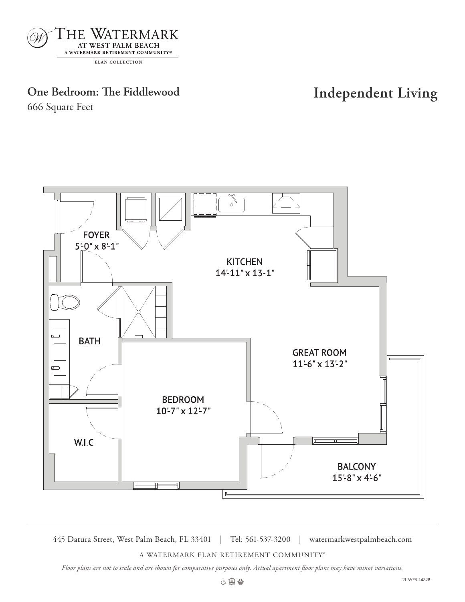

# **One Bedroom: The Fiddlewood Independent Living**

666 Square Feet



445 Datura Street, West Palm Beach, FL 33401 | Tel: 561-537-3200 | watermarkwestpalmbeach.com

A WATERMARK ELAN RETIREMENT COMMUNITY®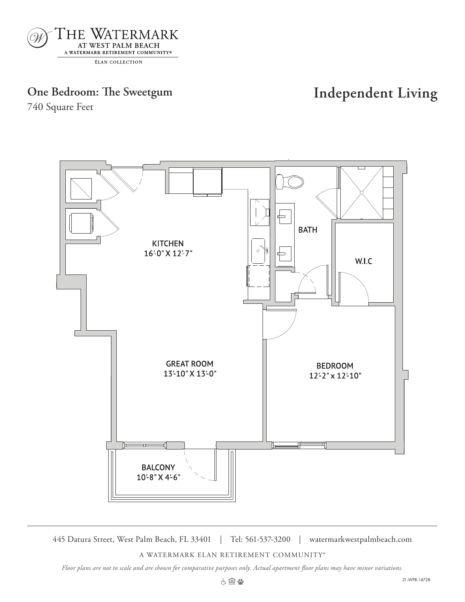

### **One Bedroom: The Sweetgum Independent Living**

740 Square Feet



445 Datura Street, West Palm Beach, FL 33401 | Tel: 561-537-3200 | watermarkwestpalmbeach.com

A WATERMARK ELAN RETIREMENT COMMUNITY®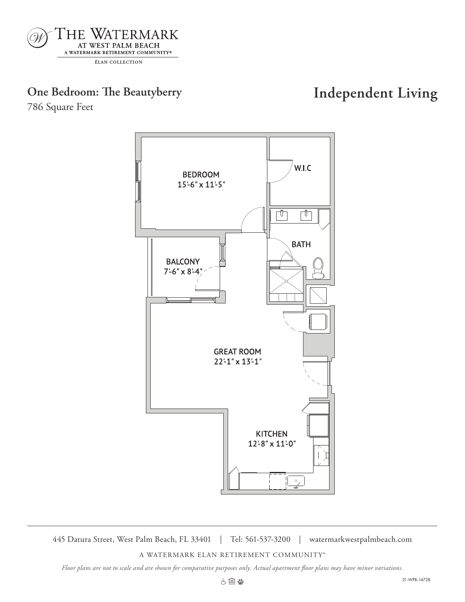

# **One Bedroom: The Beautyberry Independent Living**

786 Square Feet



445 Datura Street, West Palm Beach, FL 33401 | Tel: 561-537-3200 | watermarkwestpalmbeach.com

A WATERMARK ELAN RETIREMENT COMMUNITY®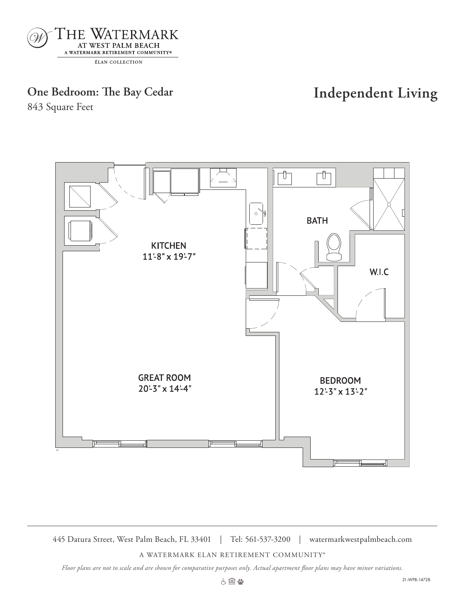

# **One Bedroom: The Bay Cedar Independent Living**

843 Square Feet



445 Datura Street, West Palm Beach, FL 33401 | Tel: 561-537-3200 | watermarkwestpalmbeach.com

A WATERMARK ELAN RETIREMENT COMMUNITY®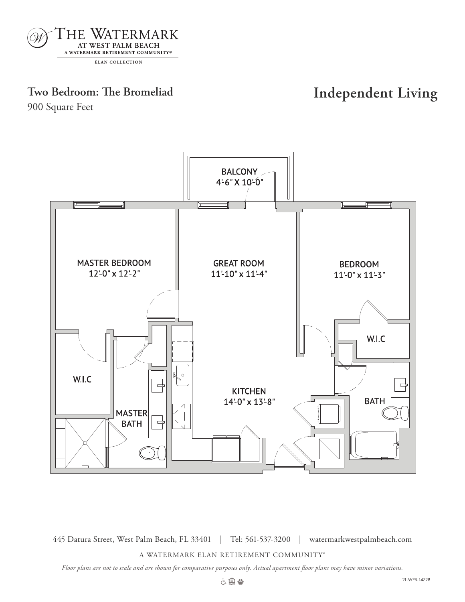

# **Two Bedroom: The Bromeliad Independent Living**

900 Square Feet



445 Datura Street, West Palm Beach, FL 33401 | Tel: 561-537-3200 | watermarkwestpalmbeach.com

A WATERMARK ELAN RETIREMENT COMMUNITY®

*Floor plans are not to scale and are shown for comparative purposes only. Actual apartment floor plans may have minor variations.*

900 SQ FT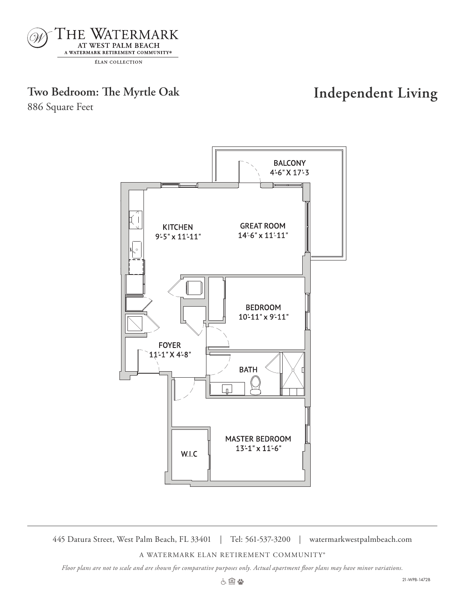

ÉLAN COLLECTION

### **Two Bedroom: The Myrtle Oak Independent Living**

886 Square Feet



445 Datura Street, West Palm Beach, FL 33401 | Tel: 561-537-3200 | watermarkwestpalmbeach.com

 $\frac{8}{3}$ 

A WATERMARK ELAN RETIREMENT COMMUNITY®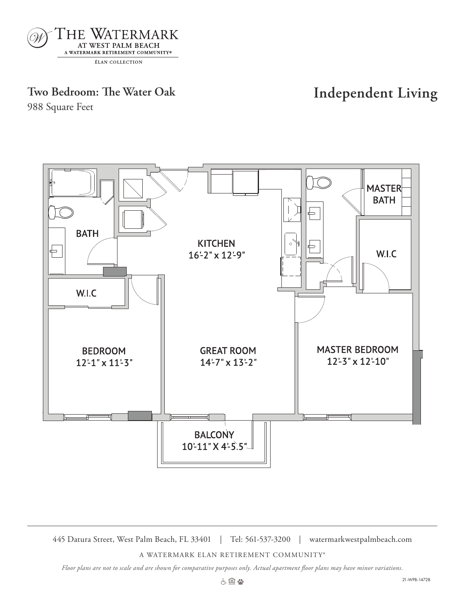

## **Two Bedroom: The Water Oak Independent Living**

988 Square Feet



445 Datura Street, West Palm Beach, FL 33401 | Tel: 561-537-3200 | watermarkwestpalmbeach.com

A WATERMARK ELAN RETIREMENT COMMUNITY®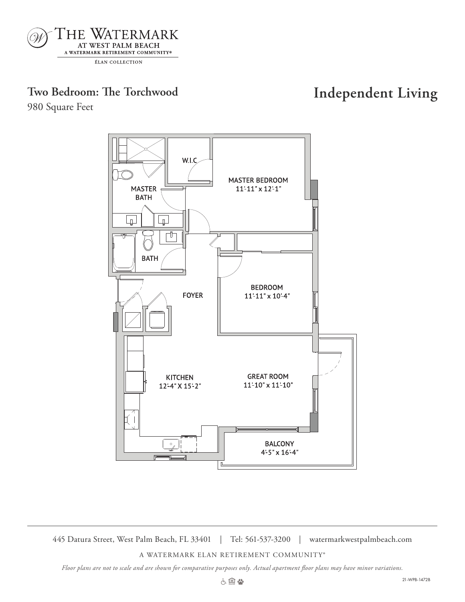

# **Two Bedroom: The Torchwood Independent Living**

980 Square Feet



445 Datura Street, West Palm Beach, FL 33401 | Tel: 561-537-3200 | watermarkwestpalmbeach.com

A WATERMARK ELAN RETIREMENT COMMUNITY®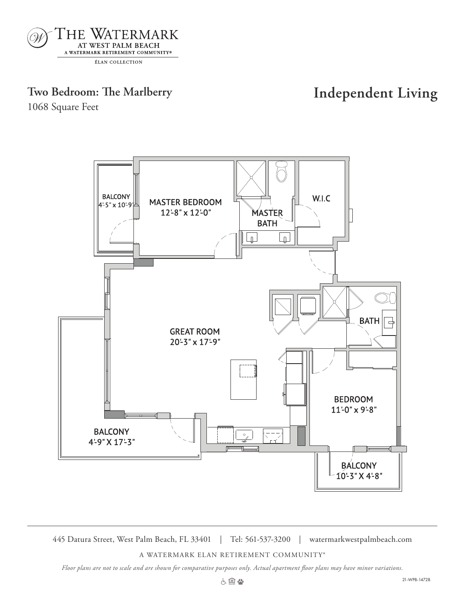

### **Two Bedroom: The Marlberry Independent Living**

1068 Square Feet



445 Datura Street, West Palm Beach, FL 33401 | Tel: 561-537-3200 | watermarkwestpalmbeach.com 1068 sq ft

A WATERMARK ELAN RETIREMENT COMMUNITY®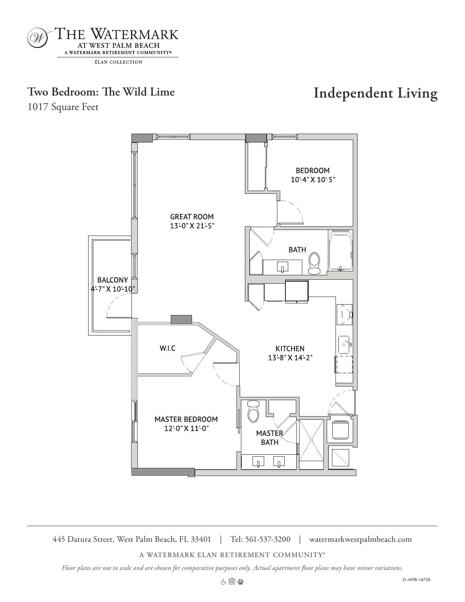

# **Two Bedroom: The Wild Lime Independent Living**

1017 Square Feet



445 Datura Street, West Palm Beach, FL 33401 | Tel: 561-537-3200 | watermarkwestpalmbeach.com

A WATERMARK ELAN RETIREMENT COMMUNITY®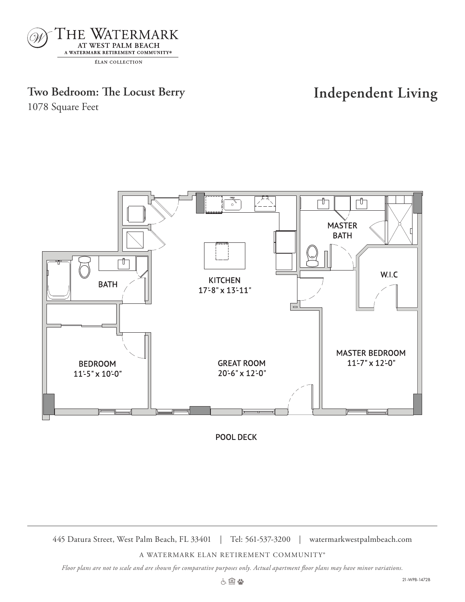

### **Two Bedroom: The Locust Berry Independent Living**

1078 Square Feet



POOL DECK

445 Datura Street, West Palm Beach, FL 33401 | Tel: 561-537-3200 | watermarkwestpalmbeach.com

A WATERMARK ELAN RETIREMENT COMMUNITY®

*Floor plans are not to scale and are shown for comparative purposes only. Actual apartment floor plans may have minor variations.*

1078 SQ FT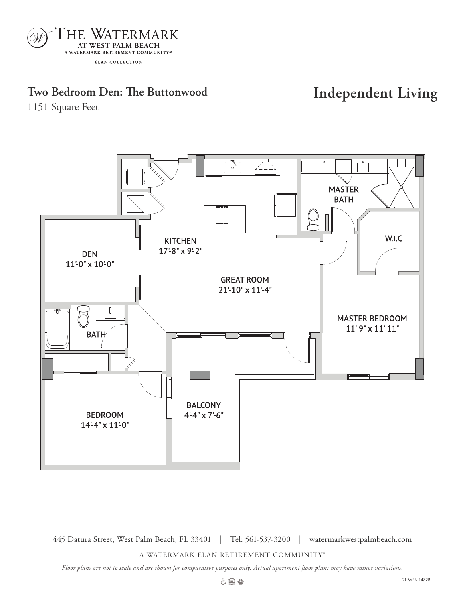

### **Two Bedroom Den: The Buttonwood Independent Living**

1151 Square Feet



445 Datura Street, West Palm Beach, FL 33401 | Tel: 561-537-3200 | watermarkwestpalmbeach.com

A WATERMARK ELAN RETIREMENT COMMUNITY®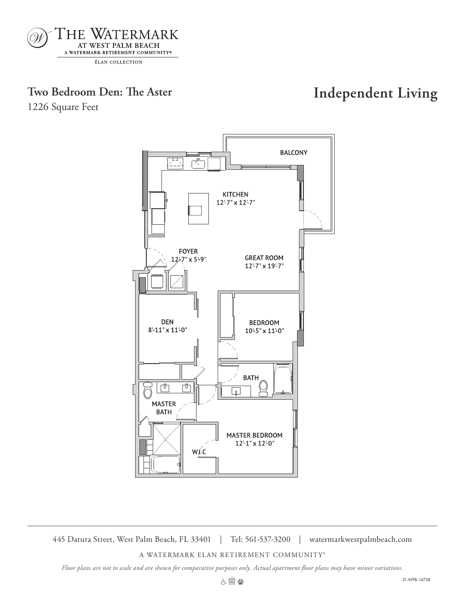

### **Two Bedroom Den: The Aster Independent Living**

1226 Square Feet



445 Datura Street, West Palm Beach, FL 33401 | Tel: 561-537-3200 | watermarkwestpalmbeach.com

A WATERMARK ELAN RETIREMENT COMMUNITY®